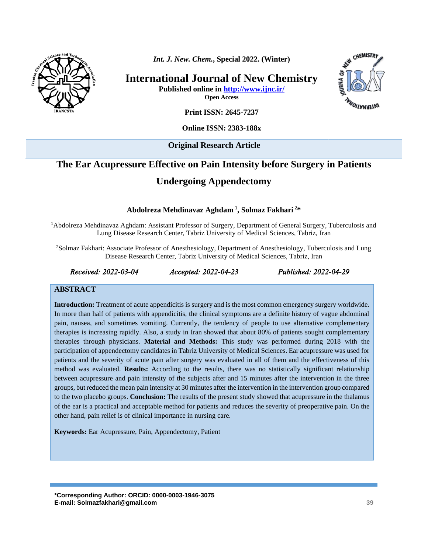

*Int. J. New. Chem.***, Special 2022. (Winter)**

**International Journal of New Chemistry Published online in<http://www.ijnc.ir/>**

**WAGRNATIONS** 

CHEMISTRY

**Open Access**

**Print ISSN: 2645-7237**

**Online ISSN: 2383-188x** 

**Original Research Article** 

# **The Ear Acupressure Effective on Pain Intensity before Surgery in Patients**

# **Undergoing Appendectomy**

**Abdolreza Mehdinavaz Aghdam <sup>1</sup> , Solmaz Fakhari <sup>2</sup>\***

<sup>1</sup>Abdolreza Mehdinavaz Aghdam: Assistant Professor of Surgery, Department of General Surgery, Tuberculosis and Lung Disease Research Center, Tabriz University of Medical Sciences, Tabriz, Iran

<sup>2</sup>Solmaz Fakhari: Associate Professor of Anesthesiology, Department of Anesthesiology, Tuberculosis and Lung Disease Research Center, Tabriz University of Medical Sciences, Tabriz, Iran

*Received: 2022-03-04 Accepted: 2022-04-23 Published: 2022-04-29* 

#### **ABSTRACT**

**Introduction:** Treatment of acute appendicitis is surgery and is the most common emergency surgery worldwide. In more than half of patients with appendicitis, the clinical symptoms are a definite history of vague abdominal pain, nausea, and sometimes vomiting. Currently, the tendency of people to use alternative complementary therapies is increasing rapidly. Also, a study in Iran showed that about 80% of patients sought complementary therapies through physicians. **Material and Methods:** This study was performed during 2018 with the participation of appendectomy candidates in Tabriz University of Medical Sciences. Ear acupressure was used for patients and the severity of acute pain after surgery was evaluated in all of them and the effectiveness of this method was evaluated. **Results:** According to the results, there was no statistically significant relationship between acupressure and pain intensity of the subjects after and 15 minutes after the intervention in the three groups, but reduced the mean pain intensity at 30 minutes after the intervention in the intervention group compared to the two placebo groups. **Conclusion:** The results of the present study showed that acupressure in the thalamus of the ear is a practical and acceptable method for patients and reduces the severity of preoperative pain. On the other hand, pain relief is of clinical importance in nursing care.

**Keywords:** Ear Acupressure, Pain, Appendectomy, Patient

**\*Corresponding Author: ORCID: 0000-0003-1946-3075 E-mail: Solmazfakhari@gmail.com 39**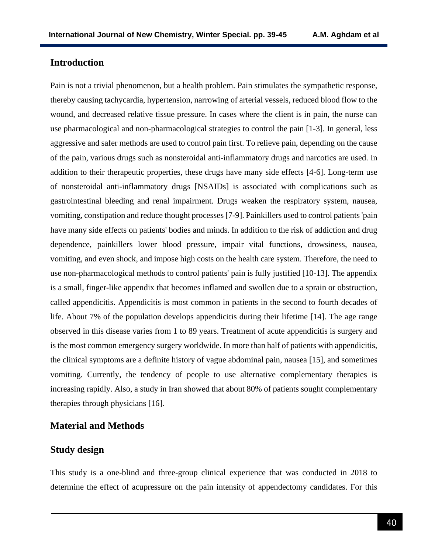## **Introduction**

Pain is not a trivial phenomenon, but a health problem. Pain stimulates the sympathetic response, thereby causing tachycardia, hypertension, narrowing of arterial vessels, reduced blood flow to the wound, and decreased relative tissue pressure. In cases where the client is in pain, the nurse can use pharmacological and non-pharmacological strategies to control the pain [1-3]. In general, less aggressive and safer methods are used to control pain first. To relieve pain, depending on the cause of the pain, various drugs such as nonsteroidal anti-inflammatory drugs and narcotics are used. In addition to their therapeutic properties, these drugs have many side effects [4-6]. Long-term use of nonsteroidal anti-inflammatory drugs [NSAIDs] is associated with complications such as gastrointestinal bleeding and renal impairment. Drugs weaken the respiratory system, nausea, vomiting, constipation and reduce thought processes [7-9]. Painkillers used to control patients 'pain have many side effects on patients' bodies and minds. In addition to the risk of addiction and drug dependence, painkillers lower blood pressure, impair vital functions, drowsiness, nausea, vomiting, and even shock, and impose high costs on the health care system. Therefore, the need to use non-pharmacological methods to control patients' pain is fully justified [10-13]. The appendix is a small, finger-like appendix that becomes inflamed and swollen due to a sprain or obstruction, called appendicitis. Appendicitis is most common in patients in the second to fourth decades of life. About 7% of the population develops appendicitis during their lifetime [14]. The age range observed in this disease varies from 1 to 89 years. Treatment of acute appendicitis is surgery and is the most common emergency surgery worldwide. In more than half of patients with appendicitis, the clinical symptoms are a definite history of vague abdominal pain, nausea [15], and sometimes vomiting. Currently, the tendency of people to use alternative complementary therapies is increasing rapidly. Also, a study in Iran showed that about 80% of patients sought complementary therapies through physicians [16].

#### **Material and Methods**

## **Study design**

This study is a one-blind and three-group clinical experience that was conducted in 2018 to determine the effect of acupressure on the pain intensity of appendectomy candidates. For this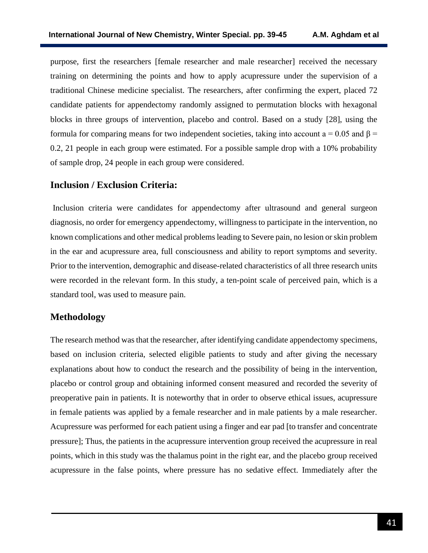purpose, first the researchers [female researcher and male researcher] received the necessary training on determining the points and how to apply acupressure under the supervision of a traditional Chinese medicine specialist. The researchers, after confirming the expert, placed 72 candidate patients for appendectomy randomly assigned to permutation blocks with hexagonal blocks in three groups of intervention, placebo and control. Based on a study [28], using the formula for comparing means for two independent societies, taking into account a = 0.05 and  $\beta$  = 0.2, 21 people in each group were estimated. For a possible sample drop with a 10% probability of sample drop, 24 people in each group were considered.

#### **Inclusion / Exclusion Criteria:**

Inclusion criteria were candidates for appendectomy after ultrasound and general surgeon diagnosis, no order for emergency appendectomy, willingness to participate in the intervention, no known complications and other medical problems leading to Severe pain, no lesion or skin problem in the ear and acupressure area, full consciousness and ability to report symptoms and severity. Prior to the intervention, demographic and disease-related characteristics of all three research units were recorded in the relevant form. In this study, a ten-point scale of perceived pain, which is a standard tool, was used to measure pain.

#### **Methodology**

The research method was that the researcher, after identifying candidate appendectomy specimens, based on inclusion criteria, selected eligible patients to study and after giving the necessary explanations about how to conduct the research and the possibility of being in the intervention, placebo or control group and obtaining informed consent measured and recorded the severity of preoperative pain in patients. It is noteworthy that in order to observe ethical issues, acupressure in female patients was applied by a female researcher and in male patients by a male researcher. Acupressure was performed for each patient using a finger and ear pad [to transfer and concentrate pressure]; Thus, the patients in the acupressure intervention group received the acupressure in real points, which in this study was the thalamus point in the right ear, and the placebo group received acupressure in the false points, where pressure has no sedative effect. Immediately after the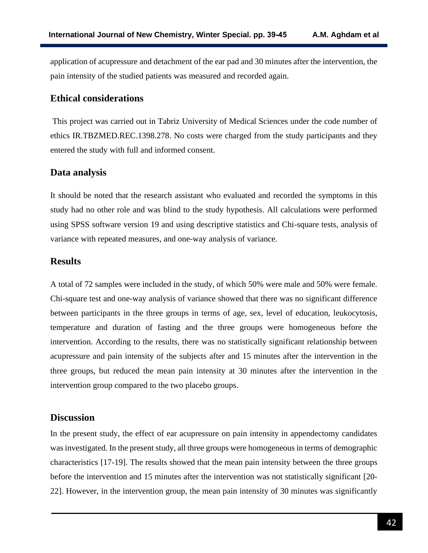application of acupressure and detachment of the ear pad and 30 minutes after the intervention, the pain intensity of the studied patients was measured and recorded again.

## **Ethical considerations**

This project was carried out in Tabriz University of Medical Sciences under the code number of ethics IR.TBZMED.REC.1398.278. No costs were charged from the study participants and they entered the study with full and informed consent.

## **Data analysis**

It should be noted that the research assistant who evaluated and recorded the symptoms in this study had no other role and was blind to the study hypothesis. All calculations were performed using SPSS software version 19 and using descriptive statistics and Chi-square tests, analysis of variance with repeated measures, and one-way analysis of variance.

#### **Results**

A total of 72 samples were included in the study, of which 50% were male and 50% were female. Chi-square test and one-way analysis of variance showed that there was no significant difference between participants in the three groups in terms of age, sex, level of education, leukocytosis, temperature and duration of fasting and the three groups were homogeneous before the intervention. According to the results, there was no statistically significant relationship between acupressure and pain intensity of the subjects after and 15 minutes after the intervention in the three groups, but reduced the mean pain intensity at 30 minutes after the intervention in the intervention group compared to the two placebo groups.

#### **Discussion**

In the present study, the effect of ear acupressure on pain intensity in appendectomy candidates was investigated. In the present study, all three groups were homogeneous in terms of demographic characteristics [17-19]. The results showed that the mean pain intensity between the three groups before the intervention and 15 minutes after the intervention was not statistically significant [20- 22]. However, in the intervention group, the mean pain intensity of 30 minutes was significantly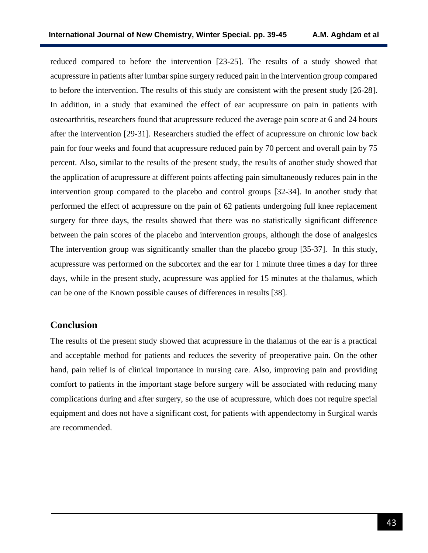reduced compared to before the intervention [23-25]. The results of a study showed that acupressure in patients after lumbar spine surgery reduced pain in the intervention group compared to before the intervention. The results of this study are consistent with the present study [26-28]. In addition, in a study that examined the effect of ear acupressure on pain in patients with osteoarthritis, researchers found that acupressure reduced the average pain score at 6 and 24 hours after the intervention [29-31]. Researchers studied the effect of acupressure on chronic low back pain for four weeks and found that acupressure reduced pain by 70 percent and overall pain by 75 percent. Also, similar to the results of the present study, the results of another study showed that the application of acupressure at different points affecting pain simultaneously reduces pain in the intervention group compared to the placebo and control groups [32-34]. In another study that performed the effect of acupressure on the pain of 62 patients undergoing full knee replacement surgery for three days, the results showed that there was no statistically significant difference between the pain scores of the placebo and intervention groups, although the dose of analgesics The intervention group was significantly smaller than the placebo group [35-37]. In this study, acupressure was performed on the subcortex and the ear for 1 minute three times a day for three days, while in the present study, acupressure was applied for 15 minutes at the thalamus, which can be one of the Known possible causes of differences in results [38].

#### **Conclusion**

The results of the present study showed that acupressure in the thalamus of the ear is a practical and acceptable method for patients and reduces the severity of preoperative pain. On the other hand, pain relief is of clinical importance in nursing care. Also, improving pain and providing comfort to patients in the important stage before surgery will be associated with reducing many complications during and after surgery, so the use of acupressure, which does not require special equipment and does not have a significant cost, for patients with appendectomy in Surgical wards are recommended.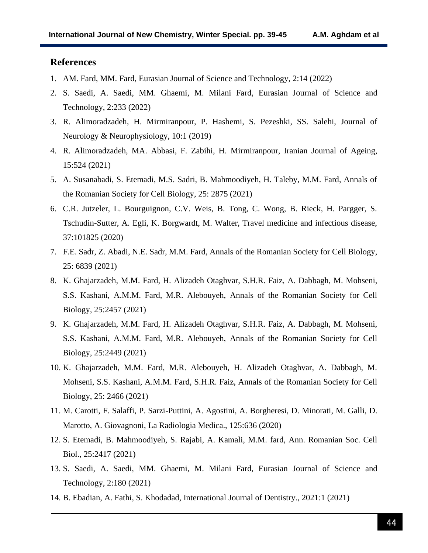#### **References**

- 1. AM. Fard, MM. Fard, Eurasian Journal of Science and Technology, 2:14 (2022)
- 2. S. Saedi, A. Saedi, MM. Ghaemi, M. Milani Fard, Eurasian Journal of Science and Technology, 2:233 (2022)
- 3. R. Alimoradzadeh, H. Mirmiranpour, P. Hashemi, S. Pezeshki, SS. Salehi, Journal of Neurology & Neurophysiology, 10:1 (2019)
- 4. R. Alimoradzadeh, MA. Abbasi, F. Zabihi, H. Mirmiranpour, Iranian Journal of Ageing, 15:524 (2021)
- 5. A. Susanabadi, S. Etemadi, M.S. Sadri, B. Mahmoodiyeh, H. Taleby, M.M. Fard, Annals of the Romanian Society for Cell Biology, 25: 2875 (2021)
- 6. C.R. Jutzeler, L. Bourguignon, C.V. Weis, B. Tong, C. Wong, B. Rieck, H. Pargger, S. Tschudin-Sutter, A. Egli, K. Borgwardt, M. Walter, Travel medicine and infectious disease, 37:101825 (2020)
- 7. F.E. Sadr, Z. Abadi, N.E. Sadr, M.M. Fard, Annals of the Romanian Society for Cell Biology, 25: 6839 (2021)
- 8. K. Ghajarzadeh, M.M. Fard, H. Alizadeh Otaghvar, S.H.R. Faiz, A. Dabbagh, M. Mohseni, S.S. Kashani, A.M.M. Fard, M.R. Alebouyeh, Annals of the Romanian Society for Cell Biology, 25:2457 (2021)
- 9. K. Ghajarzadeh, M.M. Fard, H. Alizadeh Otaghvar, S.H.R. Faiz, A. Dabbagh, M. Mohseni, S.S. Kashani, A.M.M. Fard, M.R. Alebouyeh, Annals of the Romanian Society for Cell Biology, 25:2449 (2021)
- 10. K. Ghajarzadeh, M.M. Fard, M.R. Alebouyeh, H. Alizadeh Otaghvar, A. Dabbagh, M. Mohseni, S.S. Kashani, A.M.M. Fard, S.H.R. Faiz, Annals of the Romanian Society for Cell Biology, 25: 2466 (2021)
- 11. M. Carotti, F. Salaffi, P. Sarzi-Puttini, A. Agostini, A. Borgheresi, D. Minorati, M. Galli, D. Marotto, A. Giovagnoni, La Radiologia Medica., 125:636 (2020)
- 12. S. Etemadi, B. Mahmoodiyeh, S. Rajabi, A. Kamali, M.M. fard, Ann. Romanian Soc. Cell Biol., 25:2417 (2021)
- 13. S. Saedi, A. Saedi, MM. Ghaemi, M. Milani Fard, Eurasian Journal of Science and Technology, 2:180 (2021)
- 14. B. Ebadian, A. Fathi, S. Khodadad, International Journal of Dentistry., 2021:1 (2021)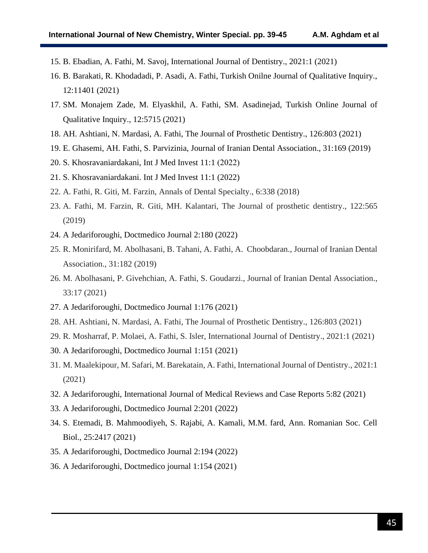- 15. B. Ebadian, A. Fathi, M. Savoj, International Journal of Dentistry., 2021:1 (2021)
- 16. B. Barakati, R. Khodadadi, P. Asadi, A. Fathi, Turkish Onilne Journal of Qualitative Inquiry., 12:11401 (2021)
- 17. SM. Monajem Zade, M. Elyaskhil, A. Fathi, SM. Asadinejad, Turkish Online Journal of Qualitative Inquiry., 12:5715 (2021)
- 18. AH. Ashtiani, N. Mardasi, A. Fathi, The Journal of Prosthetic Dentistry., 126:803 (2021)
- 19. E. Ghasemi, AH. Fathi, S. Parvizinia, Journal of Iranian Dental Association., 31:169 (2019)
- 20. S. Khosravaniardakani, Int J Med Invest  $11:1$  (2022)
- 21. S. Khosravaniardakani. Int J Med Invest 11:1 (2022)
- 22. A. Fathi, R. Giti, M. Farzin, Annals of Dental Specialty., 6:338 (2018)
- 23. A. Fathi, M. Farzin, R. Giti, MH. Kalantari, The Journal of prosthetic dentistry., 122:565 (2019)
- 24. A Jedariforoughi, Doctmedico Journal 2:180 (2022)
- 25. R. Monirifard, M. Abolhasani, B. Tahani, A. Fathi, A. Choobdaran., Journal of Iranian Dental Association., 31:182 (2019)
- 26. M. Abolhasani, P. Givehchian, A. Fathi, S. Goudarzi., Journal of Iranian Dental Association., 33:17 (2021)
- 27. A Jedariforoughi, Doctmedico Journal 1:176 (2021)
- 28. AH. Ashtiani, N. Mardasi, A. Fathi, The Journal of Prosthetic Dentistry., 126:803 (2021)
- 29. R. Mosharraf, P. Molaei, A. Fathi, S. Isler, International Journal of Dentistry., 2021:1 (2021)
- 30. A Jedariforoughi, Doctmedico Journal 1:151 (2021)
- 31. M. Maalekipour, M. Safari, M. Barekatain, A. Fathi, International Journal of Dentistry., 2021:1 (2021)
- 32. A Jedariforoughi, International Journal of Medical Reviews and Case Reports 5:82 (2021)
- 33. A Jedariforoughi, Doctmedico Journal 2:201 (2022)
- 34. S. Etemadi, B. Mahmoodiyeh, S. Rajabi, A. Kamali, M.M. fard, Ann. Romanian Soc. Cell Biol., 25:2417 (2021)
- 35. A Jedariforoughi, Doctmedico Journal 2:194 (2022)
- 36. A Jedariforoughi, Doctmedico journal 1:154 (2021)